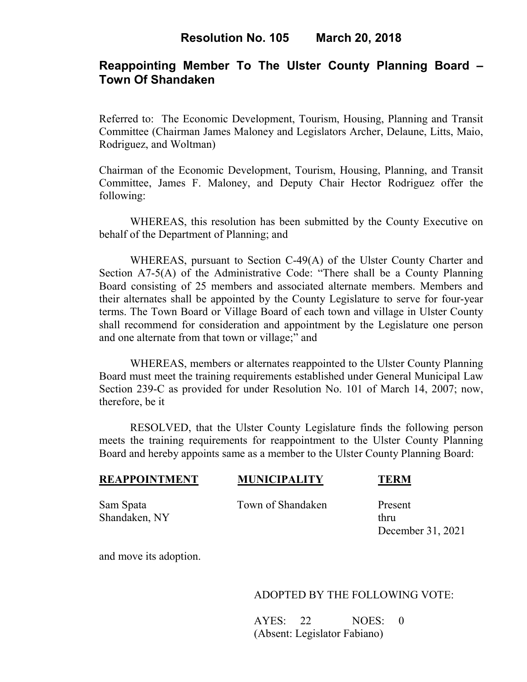## **Reappointing Member To The Ulster County Planning Board – Town Of Shandaken**

Referred to: The Economic Development, Tourism, Housing, Planning and Transit Committee (Chairman James Maloney and Legislators Archer, Delaune, Litts, Maio, Rodriguez, and Woltman)

Chairman of the Economic Development, Tourism, Housing, Planning, and Transit Committee, James F. Maloney, and Deputy Chair Hector Rodriguez offer the following:

WHEREAS, this resolution has been submitted by the County Executive on behalf of the Department of Planning; and

WHEREAS, pursuant to Section C-49(A) of the Ulster County Charter and Section A7-5(A) of the Administrative Code: "There shall be a County Planning Board consisting of 25 members and associated alternate members. Members and their alternates shall be appointed by the County Legislature to serve for four-year terms. The Town Board or Village Board of each town and village in Ulster County shall recommend for consideration and appointment by the Legislature one person and one alternate from that town or village;" and

WHEREAS, members or alternates reappointed to the Ulster County Planning Board must meet the training requirements established under General Municipal Law Section 239-C as provided for under Resolution No. 101 of March 14, 2007; now, therefore, be it

 RESOLVED, that the Ulster County Legislature finds the following person meets the training requirements for reappointment to the Ulster County Planning Board and hereby appoints same as a member to the Ulster County Planning Board:

# **REAPPOINTMENT MUNICIPALITY TERM**

Sam Spata Town of Shandaken Present

Shandaken, NY thru December 31, 2021

and move its adoption.

### ADOPTED BY THE FOLLOWING VOTE:

AYES: 22 NOES: 0 (Absent: Legislator Fabiano)